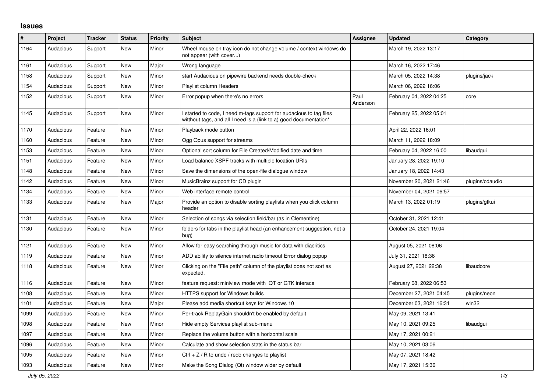## **Issues**

| $\sharp$ | Project   | <b>Tracker</b> | <b>Status</b> | <b>Priority</b> | <b>Subject</b>                                                                                                                          | Assignee         | <b>Updated</b>          | Category        |
|----------|-----------|----------------|---------------|-----------------|-----------------------------------------------------------------------------------------------------------------------------------------|------------------|-------------------------|-----------------|
| 1164     | Audacious | Support        | <b>New</b>    | Minor           | Wheel mouse on tray icon do not change volume / context windows do<br>not appear (with cover)                                           |                  | March 19, 2022 13:17    |                 |
| 1161     | Audacious | Support        | New           | Major           | Wrong language                                                                                                                          |                  | March 16, 2022 17:46    |                 |
| 1158     | Audacious | Support        | <b>New</b>    | Minor           | start Audacious on pipewire backend needs double-check                                                                                  |                  | March 05, 2022 14:38    | plugins/jack    |
| 1154     | Audacious | Support        | <b>New</b>    | Minor           | <b>Playlist column Headers</b>                                                                                                          |                  | March 06, 2022 16:06    |                 |
| 1152     | Audacious | Support        | <b>New</b>    | Minor           | Error popup when there's no errors                                                                                                      | Paul<br>Anderson | February 04, 2022 04:25 | core            |
| 1145     | Audacious | Support        | New           | Minor           | started to code, I need m-tags support for audacious to tag files<br>witthout tags, and all I need is a (link to a) good documentation* |                  | February 25, 2022 05:01 |                 |
| 1170     | Audacious | Feature        | <b>New</b>    | Minor           | Playback mode button                                                                                                                    |                  | April 22, 2022 16:01    |                 |
| 1160     | Audacious | Feature        | <b>New</b>    | Minor           | Ogg Opus support for streams                                                                                                            |                  | March 11, 2022 18:09    |                 |
| 1153     | Audacious | Feature        | <b>New</b>    | Minor           | Optional sort column for File Created/Modified date and time                                                                            |                  | February 04, 2022 16:00 | libaudgui       |
| 1151     | Audacious | Feature        | <b>New</b>    | Minor           | Load balance XSPF tracks with multiple location URIs                                                                                    |                  | January 28, 2022 19:10  |                 |
| 1148     | Audacious | Feature        | New           | Minor           | Save the dimensions of the open-file dialogue window                                                                                    |                  | January 18, 2022 14:43  |                 |
| 1142     | Audacious | Feature        | <b>New</b>    | Minor           | MusicBrainz support for CD plugin                                                                                                       |                  | November 20, 2021 21:46 | plugins/cdaudio |
| 1134     | Audacious | Feature        | <b>New</b>    | Minor           | Web interface remote control                                                                                                            |                  | November 04, 2021 06:57 |                 |
| 1133     | Audacious | Feature        | <b>New</b>    | Major           | Provide an option to disable sorting playlists when you click column<br>header                                                          |                  | March 13, 2022 01:19    | plugins/gtkui   |
| 1131     | Audacious | Feature        | <b>New</b>    | Minor           | Selection of songs via selection field/bar (as in Clementine)                                                                           |                  | October 31, 2021 12:41  |                 |
| 1130     | Audacious | Feature        | <b>New</b>    | Minor           | folders for tabs in the playlist head (an enhancement suggestion, not a<br>bug)                                                         |                  | October 24, 2021 19:04  |                 |
| 1121     | Audacious | Feature        | New           | Minor           | Allow for easy searching through music for data with diacritics                                                                         |                  | August 05, 2021 08:06   |                 |
| 1119     | Audacious | Feature        | New           | Minor           | ADD ability to silence internet radio timeout Error dialog popup                                                                        |                  | July 31, 2021 18:36     |                 |
| 1118     | Audacious | Feature        | <b>New</b>    | Minor           | Clicking on the "File path" column of the playlist does not sort as<br>expected.                                                        |                  | August 27, 2021 22:38   | libaudcore      |
| 1116     | Audacious | Feature        | <b>New</b>    | Minor           | feature request: miniview mode with QT or GTK interace                                                                                  |                  | February 08, 2022 06:53 |                 |
| 1108     | Audacious | Feature        | <b>New</b>    | Minor           | HTTPS support for Windows builds                                                                                                        |                  | December 27, 2021 04:45 | plugins/neon    |
| 1101     | Audacious | Feature        | <b>New</b>    | Major           | Please add media shortcut keys for Windows 10                                                                                           |                  | December 03, 2021 16:31 | win32           |
| 1099     | Audacious | Feature        | <b>New</b>    | Minor           | Per-track ReplayGain shouldn't be enabled by default                                                                                    |                  | May 09, 2021 13:41      |                 |
| 1098     | Audacious | Feature        | <b>New</b>    | Minor           | Hide empty Services playlist sub-menu                                                                                                   |                  | May 10, 2021 09:25      | libaudgui       |
| 1097     | Audacious | Feature        | New           | Minor           | Replace the volume button with a horizontal scale                                                                                       |                  | May 17, 2021 00:21      |                 |
| 1096     | Audacious | Feature        | <b>New</b>    | Minor           | Calculate and show selection stats in the status bar                                                                                    |                  | May 10, 2021 03:06      |                 |
| 1095     | Audacious | Feature        | <b>New</b>    | Minor           | Ctrl + $Z$ / R to undo / redo changes to playlist                                                                                       |                  | May 07, 2021 18:42      |                 |
| 1093     | Audacious | Feature        | <b>New</b>    | Minor           | Make the Song Dialog (Qt) window wider by default                                                                                       |                  | May 17, 2021 15:36      |                 |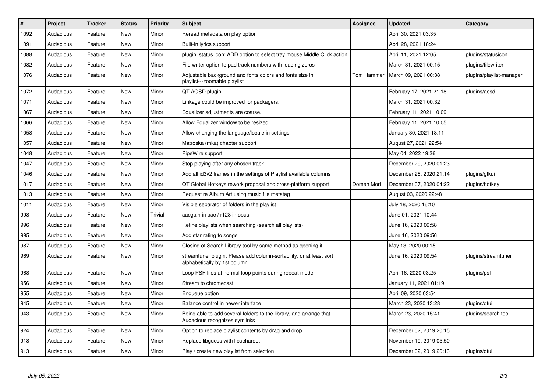| $\#$ | Project   | <b>Tracker</b> | <b>Status</b> | <b>Priority</b> | <b>Subject</b>                                                                                      | <b>Assignee</b> | <b>Updated</b>          | Category                 |
|------|-----------|----------------|---------------|-----------------|-----------------------------------------------------------------------------------------------------|-----------------|-------------------------|--------------------------|
| 1092 | Audacious | Feature        | <b>New</b>    | Minor           | Reread metadata on play option                                                                      |                 | April 30, 2021 03:35    |                          |
| 1091 | Audacious | Feature        | <b>New</b>    | Minor           | Built-in lyrics support                                                                             |                 | April 28, 2021 18:24    |                          |
| 1088 | Audacious | Feature        | <b>New</b>    | Minor           | plugin: status icon: ADD option to select tray mouse Middle Click action                            |                 | April 11, 2021 12:05    | plugins/statusicon       |
| 1082 | Audacious | Feature        | New           | Minor           | File writer option to pad track numbers with leading zeros                                          |                 | March 31, 2021 00:15    | plugins/filewriter       |
| 1076 | Audacious | Feature        | <b>New</b>    | Minor           | Adjustable background and fonts colors and fonts size in<br>playlist---zoomable playlist            | Tom Hammer      | March 09, 2021 00:38    | plugins/playlist-manager |
| 1072 | Audacious | Feature        | <b>New</b>    | Minor           | QT AOSD plugin                                                                                      |                 | February 17, 2021 21:18 | plugins/aosd             |
| 1071 | Audacious | Feature        | <b>New</b>    | Minor           | Linkage could be improved for packagers.                                                            |                 | March 31, 2021 00:32    |                          |
| 1067 | Audacious | Feature        | <b>New</b>    | Minor           | Equalizer adjustments are coarse.                                                                   |                 | February 11, 2021 10:09 |                          |
| 1066 | Audacious | Feature        | <b>New</b>    | Minor           | Allow Equalizer window to be resized.                                                               |                 | February 11, 2021 10:05 |                          |
| 1058 | Audacious | Feature        | <b>New</b>    | Minor           | Allow changing the language/locale in settings                                                      |                 | January 30, 2021 18:11  |                          |
| 1057 | Audacious | Feature        | New           | Minor           | Matroska (mka) chapter support                                                                      |                 | August 27, 2021 22:54   |                          |
| 1048 | Audacious | Feature        | <b>New</b>    | Minor           | PipeWire support                                                                                    |                 | May 04, 2022 19:36      |                          |
| 1047 | Audacious | Feature        | New           | Minor           | Stop playing after any chosen track                                                                 |                 | December 29, 2020 01:23 |                          |
| 1046 | Audacious | Feature        | New           | Minor           | Add all id3v2 frames in the settings of Playlist available columns                                  |                 | December 28, 2020 21:14 | plugins/gtkui            |
| 1017 | Audacious | Feature        | <b>New</b>    | Minor           | QT Global Hotkeys rework proposal and cross-platform support                                        | Domen Mori      | December 07, 2020 04:22 | plugins/hotkey           |
| 1013 | Audacious | Feature        | New           | Minor           | Request re Album Art using music file metatag                                                       |                 | August 03, 2020 22:48   |                          |
| 1011 | Audacious | Feature        | New           | Minor           | Visible separator of folders in the playlist                                                        |                 | July 18, 2020 16:10     |                          |
| 998  | Audacious | Feature        | <b>New</b>    | <b>Trivial</b>  | aacgain in aac / r128 in opus                                                                       |                 | June 01, 2021 10:44     |                          |
| 996  | Audacious | Feature        | <b>New</b>    | Minor           | Refine playlists when searching (search all playlists)                                              |                 | June 16, 2020 09:58     |                          |
| 995  | Audacious | Feature        | <b>New</b>    | Minor           | Add star rating to songs                                                                            |                 | June 16, 2020 09:56     |                          |
| 987  | Audacious | Feature        | New           | Minor           | Closing of Search Library tool by same method as opening it                                         |                 | May 13, 2020 00:15      |                          |
| 969  | Audacious | Feature        | New           | Minor           | streamtuner plugin: Please add column-sortability, or at least sort<br>alphabetically by 1st column |                 | June 16, 2020 09:54     | plugins/streamtuner      |
| 968  | Audacious | Feature        | <b>New</b>    | Minor           | Loop PSF files at normal loop points during repeat mode                                             |                 | April 16, 2020 03:25    | plugins/psf              |
| 956  | Audacious | Feature        | <b>New</b>    | Minor           | Stream to chromecast                                                                                |                 | January 11, 2021 01:19  |                          |
| 955  | Audacious | Feature        | <b>New</b>    | Minor           | Enqueue option                                                                                      |                 | April 09, 2020 03:54    |                          |
| 945  | Audacious | Feature        | New           | Minor           | Balance control in newer interface                                                                  |                 | March 23, 2020 13:28    | plugins/qtui             |
| 943  | Audacious | Feature        | New           | Minor           | Being able to add several folders to the library, and arrange that<br>Audacious recognizes symlinks |                 | March 23, 2020 15:41    | plugins/search tool      |
| 924  | Audacious | Feature        | New           | Minor           | Option to replace playlist contents by drag and drop                                                |                 | December 02, 2019 20:15 |                          |
| 918  | Audacious | Feature        | <b>New</b>    | Minor           | Replace libguess with libuchardet                                                                   |                 | November 19, 2019 05:50 |                          |
| 913  | Audacious | Feature        | New           | Minor           | Play / create new playlist from selection                                                           |                 | December 02, 2019 20:13 | plugins/gtui             |